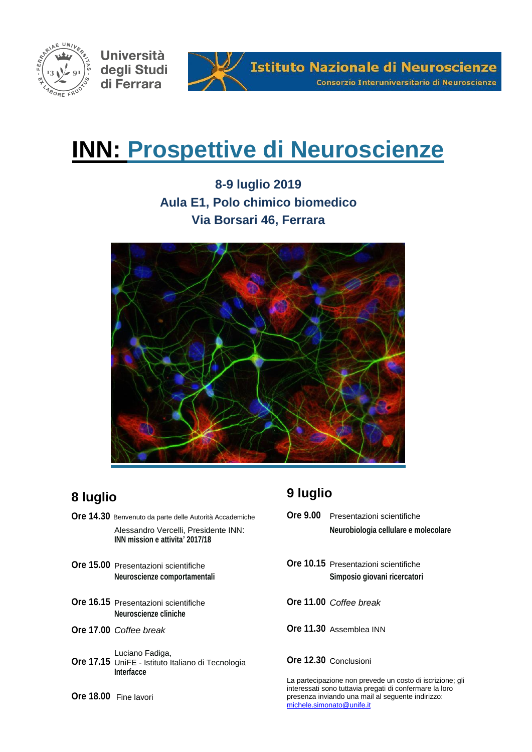

Università degli Studi di Ferrara



# **INN: Prospettive di Neuroscienze**

**8-9 luglio 2019 Aula E1, Polo chimico biomedico Via Borsari 46, Ferrara**



# **8 luglio**

**Ore 14.30** Benvenuto da parte delle Autorità Accademiche Alessandro Vercelli, Presidente INN: **INN mission e attivita' 2017/18 Ore 15.00** Presentazioni scientifiche **Neuroscienze comportamentali Ore 16.15** Presentazioni scientifiche **Neuroscienze cliniche Ore 17.00** *Coffee break* **Ore 17.15** UniFE - Istituto Italiano di Tecnologia Luciano Fadiga, **Interfacce Ore 18.00** Fine lavori

# **9 luglio**

- **Ore 9.00** Presentazioni scientifiche **Neurobiologia cellulare e molecolare**
- **Ore 10.15** Presentazioni scientifiche **Simposio giovani ricercatori**
- **Ore 11.00** *Coffee break*
- **Ore 11.30** Assemblea INN

# **Ore 12.30** Conclusioni

La partecipazione non prevede un costo di iscrizione; gli interessati sono tuttavia pregati di confermare la loro presenza inviando una mail al seguente indirizzo: [michele.simonato@unife.it](mailto:michele.simonato@unife.i)